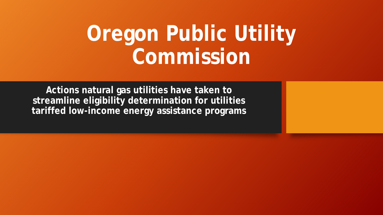# **Oregon Public Utility Commission**

**Actions natural gas utilities have taken to streamline eligibility determination for utilities tariffed low-income energy assistance programs**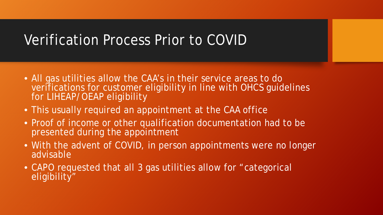### Verification Process Prior to COVID

- All gas utilities allow the CAA's in their service areas to do verifications for customer eligibility in line with OHCS guidelines for LIHEAP/OEAP eligibility
- This usually required an appointment at the CAA office
- Proof of income or other qualification documentation had to be presented during the appointment
- With the advent of COVID, in person appointments were no longer advisable
- CAPO requested that all 3 gas utilities allow for "categorical eligibility"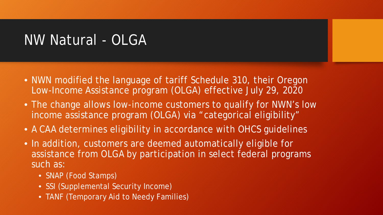## NW Natural - OLGA

- NWN modified the language of tariff Schedule 310, their Oregon Low-Income Assistance program (OLGA) effective July 29, 2020
- The change allows low-income customers to qualify for NWN's low income assistance program (OLGA) via "categorical eligibility"
- A CAA determines eligibility in accordance with OHCS guidelines
- In addition, customers are deemed automatically eligible for assistance from OLGA by participation in select federal programs such as:
	- SNAP (Food Stamps)
	- SSI (Supplemental Security Income)
	- TANF (Temporary Aid to Needy Families)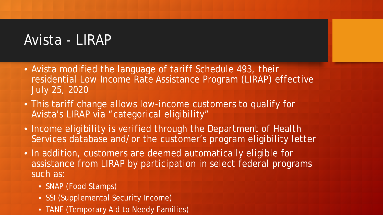## Avista - LIRAP

- Avista modified the language of tariff Schedule 493, their residential Low Income Rate Assistance Program (LIRAP) effective July 25, 2020
- This tariff change allows low-income customers to qualify for Avista's LIRAP via "categorical eligibility"
- Income eligibility is verified through the Department of Health Services database and/or the customer's program eligibility letter
- In addition, customers are deemed automatically eligible for assistance from LIRAP by participation in select federal programs such as:
	- SNAP (Food Stamps)
	- SSI (Supplemental Security Income)
	- TANF (Temporary Aid to Needy Families)